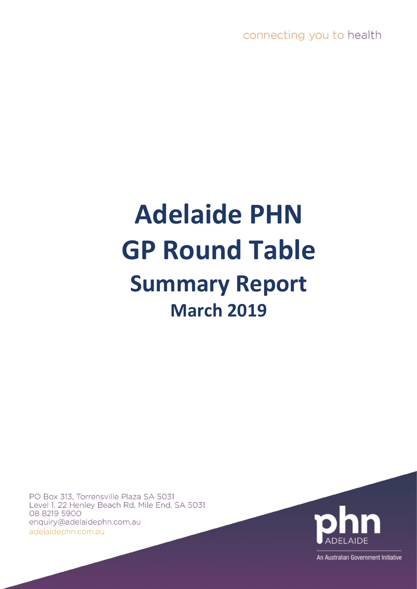connecting you to health

# **Adelaide PHN GP Round Table Summary Report March 2019**

PO Box 313, Torrensville Plaza SA 5031 Level 1, 22 Henley Beach Rd, Mile End, SA 5031 08 8219 5900 enquiry@adelaidephn.com.au adelaidephn.com.au



An Australian Government Initiative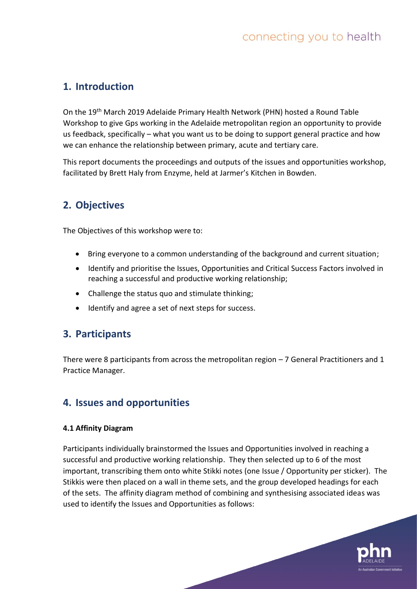# **1. Introduction**

On the 19th March 2019 Adelaide Primary Health Network (PHN) hosted a Round Table Workshop to give Gps working in the Adelaide metropolitan region an opportunity to provide us feedback, specifically – what you want us to be doing to support general practice and how we can enhance the relationship between primary, acute and tertiary care.

This report documents the proceedings and outputs of the issues and opportunities workshop, facilitated by Brett Haly from Enzyme, held at Jarmer's Kitchen in Bowden.

# **2. Objectives**

The Objectives of this workshop were to:

- Bring everyone to a common understanding of the background and current situation;
- Identify and prioritise the Issues, Opportunities and Critical Success Factors involved in reaching a successful and productive working relationship;
- Challenge the status quo and stimulate thinking;
- Identify and agree a set of next steps for success.

# **3. Participants**

There were 8 participants from across the metropolitan region – 7 General Practitioners and 1 Practice Manager.

# **4. Issues and opportunities**

### **4.1 Affinity Diagram**

Participants individually brainstormed the Issues and Opportunities involved in reaching a successful and productive working relationship. They then selected up to 6 of the most important, transcribing them onto white Stikki notes (one Issue / Opportunity per sticker). The Stikkis were then placed on a wall in theme sets, and the group developed headings for each of the sets. The affinity diagram method of combining and synthesising associated ideas was used to identify the Issues and Opportunities as follows:

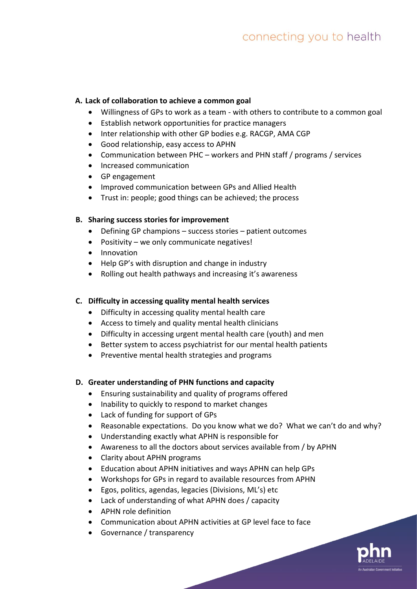# **A. Lack of collaboration to achieve a common goal**

- Willingness of GPs to work as a team with others to contribute to a common goal
- Establish network opportunities for practice managers
- Inter relationship with other GP bodies e.g. RACGP, AMA CGP
- Good relationship, easy access to APHN
- Communication between PHC workers and PHN staff / programs / services
- Increased communication
- GP engagement
- Improved communication between GPs and Allied Health
- Trust in: people; good things can be achieved; the process

# **B. Sharing success stories for improvement**

- Defining GP champions success stories patient outcomes
- Positivity we only communicate negatives!
- Innovation
- Help GP's with disruption and change in industry
- Rolling out health pathways and increasing it's awareness

# **C. Difficulty in accessing quality mental health services**

- Difficulty in accessing quality mental health care
- Access to timely and quality mental health clinicians
- Difficulty in accessing urgent mental health care (youth) and men
- Better system to access psychiatrist for our mental health patients
- Preventive mental health strategies and programs

# **D. Greater understanding of PHN functions and capacity**

- Ensuring sustainability and quality of programs offered
- Inability to quickly to respond to market changes
- Lack of funding for support of GPs
- Reasonable expectations. Do you know what we do? What we can't do and why?
- Understanding exactly what APHN is responsible for
- Awareness to all the doctors about services available from / by APHN
- Clarity about APHN programs
- Education about APHN initiatives and ways APHN can help GPs
- Workshops for GPs in regard to available resources from APHN
- Egos, politics, agendas, legacies (Divisions, ML's) etc
- Lack of understanding of what APHN does / capacity
- APHN role definition
- Communication about APHN activities at GP level face to face
- Governance / transparency

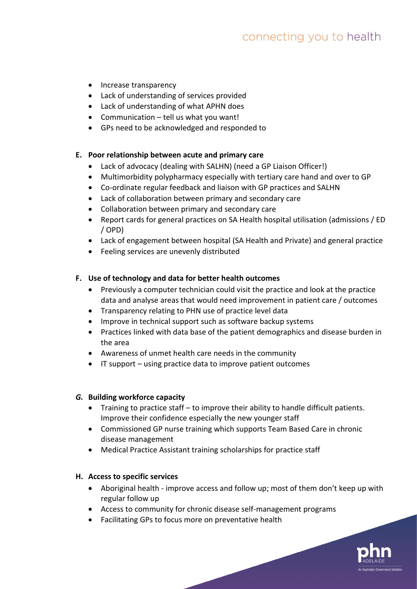- Increase transparency
- Lack of understanding of services provided
- Lack of understanding of what APHN does
- Communication tell us what you want!
- GPs need to be acknowledged and responded to

### **E. Poor relationship between acute and primary care**

- Lack of advocacy (dealing with SALHN) (need a GP Liaison Officer!)
- Multimorbidity polypharmacy especially with tertiary care hand and over to GP
- Co-ordinate regular feedback and liaison with GP practices and SALHN
- Lack of collaboration between primary and secondary care
- Collaboration between primary and secondary care
- Report cards for general practices on SA Health hospital utilisation (admissions / ED / OPD)
- Lack of engagement between hospital (SA Health and Private) and general practice
- Feeling services are unevenly distributed

## **F. Use of technology and data for better health outcomes**

- Previously a computer technician could visit the practice and look at the practice data and analyse areas that would need improvement in patient care / outcomes
- Transparency relating to PHN use of practice level data
- Improve in technical support such as software backup systems
- Practices linked with data base of the patient demographics and disease burden in the area
- Awareness of unmet health care needs in the community
- IT support using practice data to improve patient outcomes

### *G.* **Building workforce capacity**

- Training to practice staff to improve their ability to handle difficult patients. Improve their confidence especially the new younger staff
- Commissioned GP nurse training which supports Team Based Care in chronic disease management
- Medical Practice Assistant training scholarships for practice staff

### **H. Access to specific services**

- Aboriginal health improve access and follow up; most of them don't keep up with regular follow up
- Access to community for chronic disease self-management programs
- Facilitating GPs to focus more on preventative health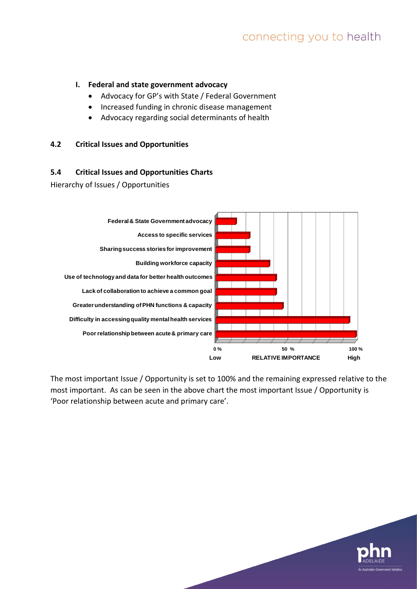## **I. Federal and state government advocacy**

- Advocacy for GP's with State / Federal Government
- Increased funding in chronic disease management
- Advocacy regarding social determinants of health

### **4.2 Critical Issues and Opportunities**

### **5.4 Critical Issues and Opportunities Charts**

Hierarchy of Issues / Opportunities



The most important Issue / Opportunity is set to 100% and the remaining expressed relative to the most important. As can be seen in the above chart the most important Issue / Opportunity is 'Poor relationship between acute and primary care'.

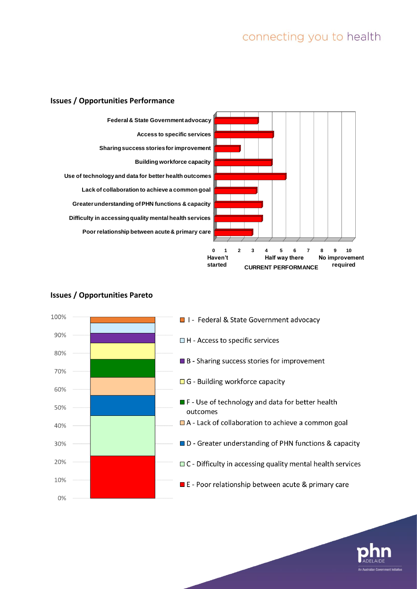





# **Issues / Opportunities Pareto**